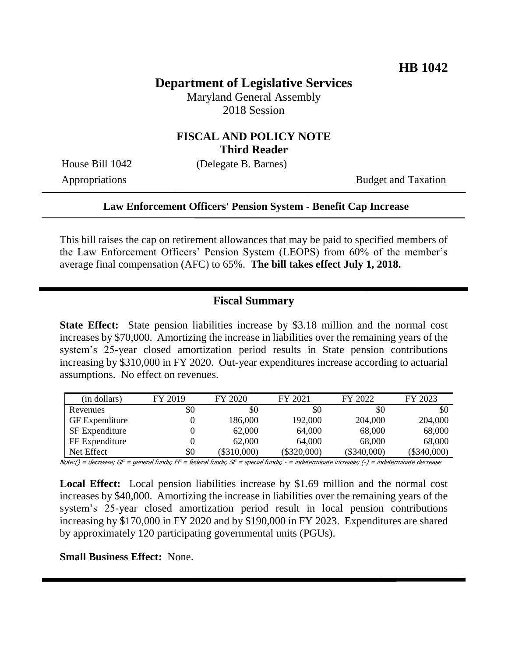# **Department of Legislative Services**

Maryland General Assembly 2018 Session

### **FISCAL AND POLICY NOTE Third Reader**

House Bill 1042 (Delegate B. Barnes)

Appropriations Budget and Taxation

#### **Law Enforcement Officers' Pension System - Benefit Cap Increase**

This bill raises the cap on retirement allowances that may be paid to specified members of the Law Enforcement Officers' Pension System (LEOPS) from 60% of the member's average final compensation (AFC) to 65%. **The bill takes effect July 1, 2018.**

### **Fiscal Summary**

**State Effect:** State pension liabilities increase by \$3.18 million and the normal cost increases by \$70,000. Amortizing the increase in liabilities over the remaining years of the system's 25-year closed amortization period results in State pension contributions increasing by \$310,000 in FY 2020. Out-year expenditures increase according to actuarial assumptions. No effect on revenues.

| (in dollars)          | FY 2019 | FY 2020       | FY 2021       | FY 2022       | FY 2023       |
|-----------------------|---------|---------------|---------------|---------------|---------------|
| Revenues              | \$0     | \$0           | \$0           | \$0           | \$0           |
| <b>GF</b> Expenditure |         | 186,000       | 192,000       | 204,000       | 204,000       |
| <b>SF</b> Expenditure |         | 62,000        | 64,000        | 68,000        | 68,000        |
| FF Expenditure        |         | 62,000        | 64,000        | 68,000        | 68,000        |
| Net Effect            | \$0     | $(\$310,000)$ | $(\$320,000)$ | $(\$340,000)$ | $(\$340,000)$ |

Note:() = decrease; GF = general funds; FF = federal funds; SF = special funds; - = indeterminate increase; (-) = indeterminate decrease

**Local Effect:** Local pension liabilities increase by \$1.69 million and the normal cost increases by \$40,000. Amortizing the increase in liabilities over the remaining years of the system's 25-year closed amortization period result in local pension contributions increasing by \$170,000 in FY 2020 and by \$190,000 in FY 2023. Expenditures are shared by approximately 120 participating governmental units (PGUs).

**Small Business Effect:** None.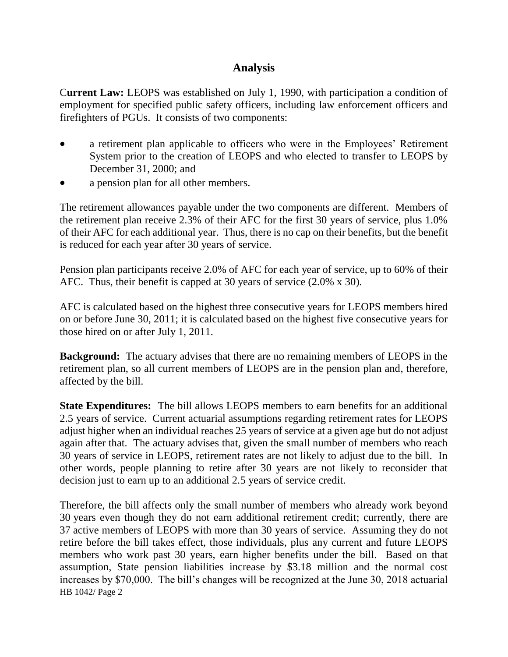### **Analysis**

C**urrent Law:** LEOPS was established on July 1, 1990, with participation a condition of employment for specified public safety officers, including law enforcement officers and firefighters of PGUs. It consists of two components:

- a retirement plan applicable to officers who were in the Employees' Retirement System prior to the creation of LEOPS and who elected to transfer to LEOPS by December 31, 2000; and
- a pension plan for all other members.

The retirement allowances payable under the two components are different. Members of the retirement plan receive 2.3% of their AFC for the first 30 years of service, plus 1.0% of their AFC for each additional year. Thus, there is no cap on their benefits, but the benefit is reduced for each year after 30 years of service.

Pension plan participants receive 2.0% of AFC for each year of service, up to 60% of their AFC. Thus, their benefit is capped at 30 years of service (2.0% x 30).

AFC is calculated based on the highest three consecutive years for LEOPS members hired on or before June 30, 2011; it is calculated based on the highest five consecutive years for those hired on or after July 1, 2011.

**Background:** The actuary advises that there are no remaining members of LEOPS in the retirement plan, so all current members of LEOPS are in the pension plan and, therefore, affected by the bill.

**State Expenditures:** The bill allows LEOPS members to earn benefits for an additional 2.5 years of service. Current actuarial assumptions regarding retirement rates for LEOPS adjust higher when an individual reaches 25 years of service at a given age but do not adjust again after that. The actuary advises that, given the small number of members who reach 30 years of service in LEOPS, retirement rates are not likely to adjust due to the bill. In other words, people planning to retire after 30 years are not likely to reconsider that decision just to earn up to an additional 2.5 years of service credit.

HB 1042/ Page 2 Therefore, the bill affects only the small number of members who already work beyond 30 years even though they do not earn additional retirement credit; currently, there are 37 active members of LEOPS with more than 30 years of service. Assuming they do not retire before the bill takes effect, those individuals, plus any current and future LEOPS members who work past 30 years, earn higher benefits under the bill. Based on that assumption, State pension liabilities increase by \$3.18 million and the normal cost increases by \$70,000. The bill's changes will be recognized at the June 30, 2018 actuarial